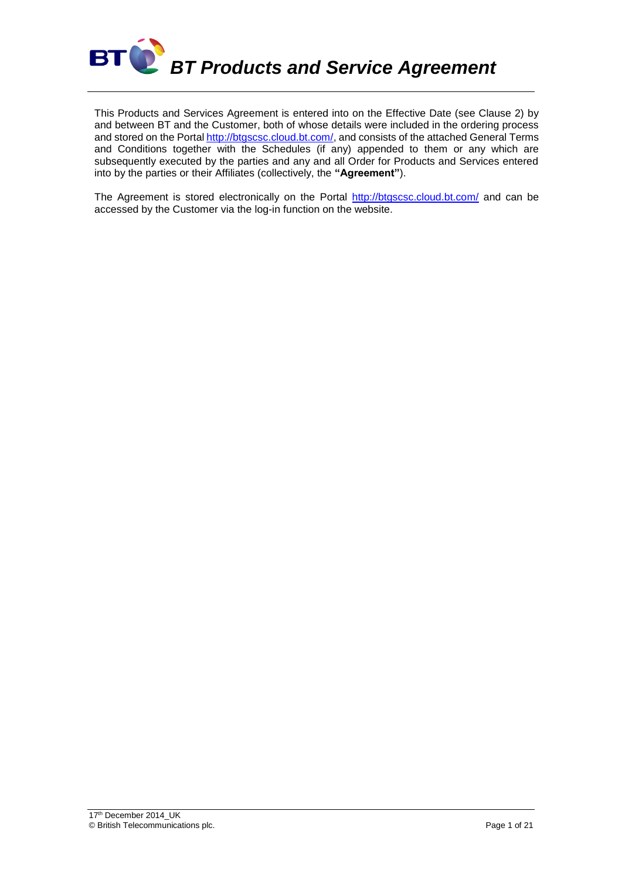

This Products and Services Agreement is entered into on the Effective Date (see Clause 2) by and between BT and the Customer, both of whose details were included in the ordering process and stored on the Portal [http://btgscsc.cloud.bt.com/,](http://btgscsc.cloud.bt.com/) and consists of the attached General Terms and Conditions together with the Schedules (if any) appended to them or any which are subsequently executed by the parties and any and all Order for Products and Services entered into by the parties or their Affiliates (collectively, the **"Agreement"**).

The Agreement is stored electronically on the Portal<http://btgscsc.cloud.bt.com/> and can be accessed by the Customer via the log-in function on the website.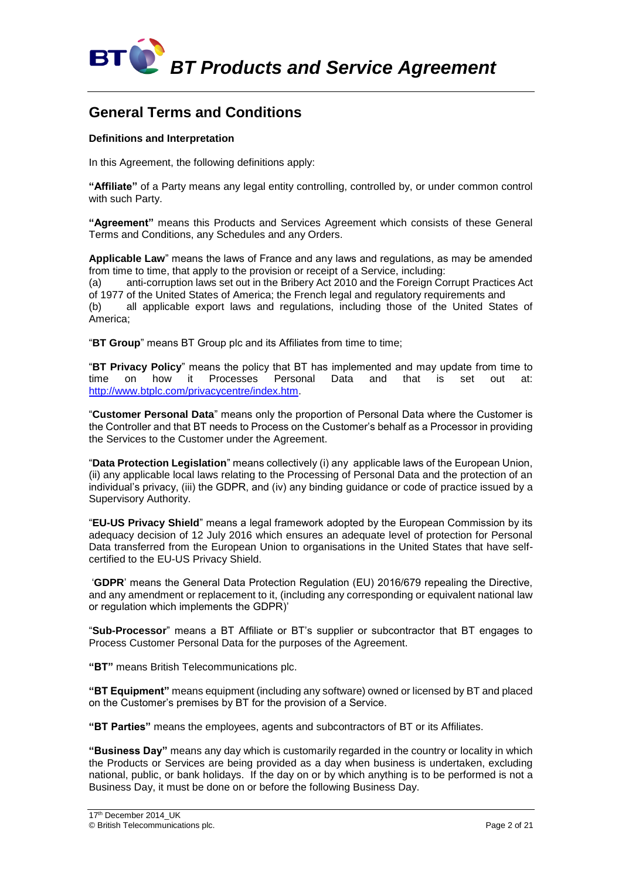

### **General Terms and Conditions**

#### **Definitions and Interpretation**

In this Agreement, the following definitions apply:

**"Affiliate"** of a Party means any legal entity controlling, controlled by, or under common control with such Party.

**"Agreement"** means this Products and Services Agreement which consists of these General Terms and Conditions, any Schedules and any Orders.

**Applicable Law**" means the laws of France and any laws and regulations, as may be amended from time to time, that apply to the provision or receipt of a Service, including:

(a) anti-corruption laws set out in the Bribery Act 2010 and the Foreign Corrupt Practices Act of 1977 of the United States of America; the French legal and regulatory requirements and

(b) all applicable export laws and regulations, including those of the United States of America;

"**BT Group**" means BT Group plc and its Affiliates from time to time;

"**BT Privacy Policy**" means the policy that BT has implemented and may update from time to time on how it Processes Personal Data and that is set out at: [http://www.btplc.com/privacycentre/index.htm.](http://www.btplc.com/privacycentre/index.htm)

"**Customer Personal Data**" means only the proportion of Personal Data where the Customer is the Controller and that BT needs to Process on the Customer's behalf as a Processor in providing the Services to the Customer under the Agreement.

"**Data Protection Legislation**" means collectively (i) any applicable laws of the European Union, (ii) any applicable local laws relating to the Processing of Personal Data and the protection of an individual's privacy, (iii) the GDPR, and (iv) any binding guidance or code of practice issued by a Supervisory Authority.

"**EU-US Privacy Shield**" means a legal framework adopted by the European Commission by its adequacy decision of 12 July 2016 which ensures an adequate level of protection for Personal Data transferred from the European Union to organisations in the United States that have selfcertified to the EU-US Privacy Shield.

'**GDPR**' means the General Data Protection Regulation (EU) 2016/679 repealing the Directive, and any amendment or replacement to it, (including any corresponding or equivalent national law or regulation which implements the GDPR)'

"**Sub-Processor**" means a BT Affiliate or BT's supplier or subcontractor that BT engages to Process Customer Personal Data for the purposes of the Agreement.

**"BT"** means British Telecommunications plc.

**"BT Equipment"** means equipment (including any software) owned or licensed by BT and placed on the Customer's premises by BT for the provision of a Service.

**"BT Parties"** means the employees, agents and subcontractors of BT or its Affiliates.

**"Business Day"** means any day which is customarily regarded in the country or locality in which the Products or Services are being provided as a day when business is undertaken, excluding national, public, or bank holidays. If the day on or by which anything is to be performed is not a Business Day, it must be done on or before the following Business Day.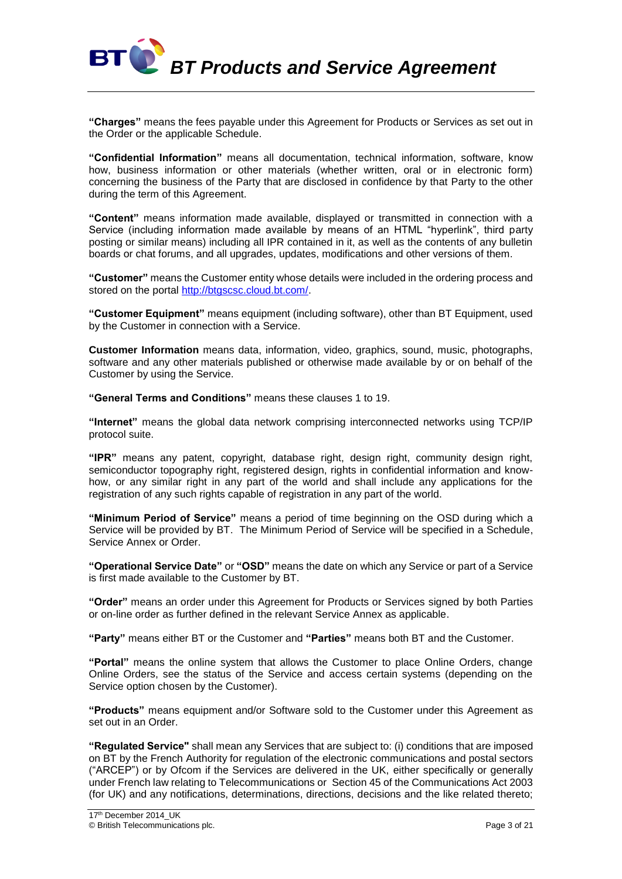**BT C**<sup>P</sup> BT Products and Service Agreement

**"Charges"** means the fees payable under this Agreement for Products or Services as set out in the Order or the applicable Schedule.

**"Confidential Information"** means all documentation, technical information, software, know how, business information or other materials (whether written, oral or in electronic form) concerning the business of the Party that are disclosed in confidence by that Party to the other during the term of this Agreement.

**"Content"** means information made available, displayed or transmitted in connection with a Service (including information made available by means of an HTML "hyperlink", third party posting or similar means) including all IPR contained in it, as well as the contents of any bulletin boards or chat forums, and all upgrades, updates, modifications and other versions of them.

**"Customer"** means the Customer entity whose details were included in the ordering process and stored on the portal [http://btgscsc.cloud.bt.com/.](http://btgscsc.cloud.bt.com/)

**"Customer Equipment"** means equipment (including software), other than BT Equipment, used by the Customer in connection with a Service.

**Customer Information** means data, information, video, graphics, sound, music, photographs, software and any other materials published or otherwise made available by or on behalf of the Customer by using the Service.

**"General Terms and Conditions"** means these clauses 1 to 19.

**"Internet"** means the global data network comprising interconnected networks using TCP/IP protocol suite.

**"IPR"** means any patent, copyright, database right, design right, community design right, semiconductor topography right, registered design, rights in confidential information and knowhow, or any similar right in any part of the world and shall include any applications for the registration of any such rights capable of registration in any part of the world.

**"Minimum Period of Service"** means a period of time beginning on the OSD during which a Service will be provided by BT. The Minimum Period of Service will be specified in a Schedule, Service Annex or Order.

**"Operational Service Date"** or **"OSD"** means the date on which any Service or part of a Service is first made available to the Customer by BT.

**"Order"** means an order under this Agreement for Products or Services signed by both Parties or on-line order as further defined in the relevant Service Annex as applicable.

**"Party"** means either BT or the Customer and **"Parties"** means both BT and the Customer.

**"Portal"** means the online system that allows the Customer to place Online Orders, change Online Orders, see the status of the Service and access certain systems (depending on the Service option chosen by the Customer).

**"Products"** means equipment and/or Software sold to the Customer under this Agreement as set out in an Order.

**"Regulated Service"** shall mean any Services that are subject to: (i) conditions that are imposed on BT by the French Authority for regulation of the electronic communications and postal sectors ("ARCEP") or by Ofcom if the Services are delivered in the UK, either specifically or generally under French law relating to Telecommunications or Section 45 of the Communications Act 2003 (for UK) and any notifications, determinations, directions, decisions and the like related thereto;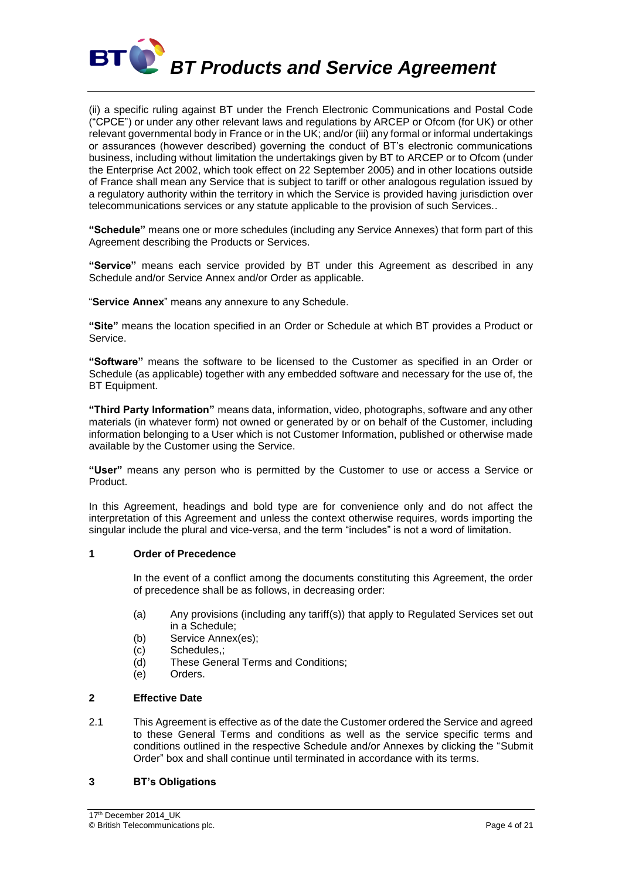

(ii) a specific ruling against BT under the French Electronic Communications and Postal Code ("CPCE") or under any other relevant laws and regulations by ARCEP or Ofcom (for UK) or other relevant governmental body in France or in the UK; and/or (iii) any formal or informal undertakings or assurances (however described) governing the conduct of BT's electronic communications business, including without limitation the undertakings given by BT to ARCEP or to Ofcom (under the Enterprise Act 2002, which took effect on 22 September 2005) and in other locations outside of France shall mean any Service that is subject to tariff or other analogous regulation issued by a regulatory authority within the territory in which the Service is provided having jurisdiction over telecommunications services or any statute applicable to the provision of such Services..

**"Schedule"** means one or more schedules (including any Service Annexes) that form part of this Agreement describing the Products or Services.

**"Service"** means each service provided by BT under this Agreement as described in any Schedule and/or Service Annex and/or Order as applicable.

"**Service Annex**" means any annexure to any Schedule.

**"Site"** means the location specified in an Order or Schedule at which BT provides a Product or Service.

**"Software"** means the software to be licensed to the Customer as specified in an Order or Schedule (as applicable) together with any embedded software and necessary for the use of, the **BT** Equipment.

**"Third Party Information"** means data, information, video, photographs, software and any other materials (in whatever form) not owned or generated by or on behalf of the Customer, including information belonging to a User which is not Customer Information, published or otherwise made available by the Customer using the Service.

**"User"** means any person who is permitted by the Customer to use or access a Service or Product.

In this Agreement, headings and bold type are for convenience only and do not affect the interpretation of this Agreement and unless the context otherwise requires, words importing the singular include the plural and vice-versa, and the term "includes" is not a word of limitation.

#### **1 Order of Precedence**

In the event of a conflict among the documents constituting this Agreement, the order of precedence shall be as follows, in decreasing order:

- (a) Any provisions (including any tariff(s)) that apply to Regulated Services set out in a Schedule;
- (b) Service Annex(es);
- (c) Schedules,;
- (d) These General Terms and Conditions;
- (e) Orders.

#### **2 Effective Date**

2.1 This Agreement is effective as of the date the Customer ordered the Service and agreed to these General Terms and conditions as well as the service specific terms and conditions outlined in the respective Schedule and/or Annexes by clicking the "Submit Order" box and shall continue until terminated in accordance with its terms.

#### **3 BT's Obligations**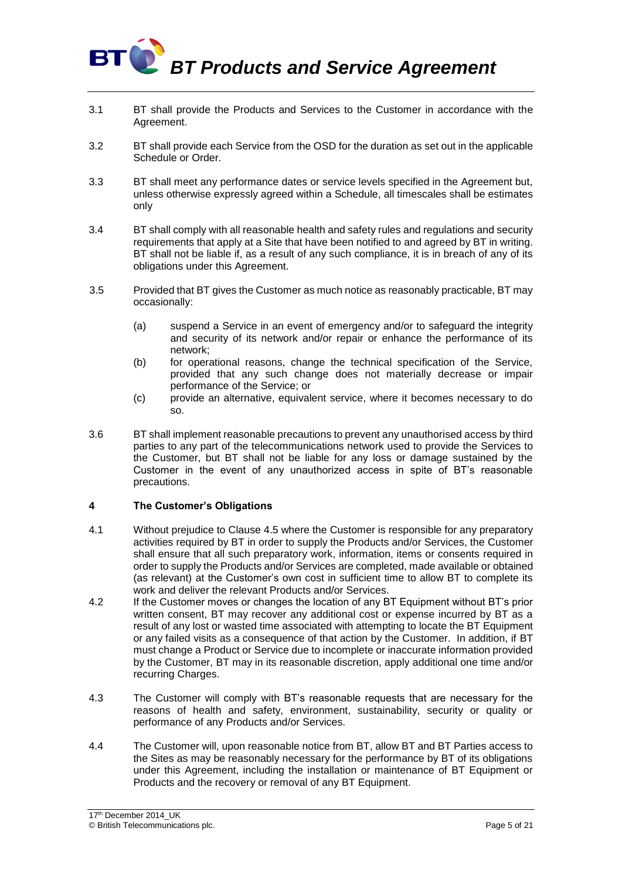

- 3.1 BT shall provide the Products and Services to the Customer in accordance with the Agreement.
- 3.2 BT shall provide each Service from the OSD for the duration as set out in the applicable Schedule or Order.
- 3.3 BT shall meet any performance dates or service levels specified in the Agreement but, unless otherwise expressly agreed within a Schedule, all timescales shall be estimates only
- 3.4 BT shall comply with all reasonable health and safety rules and regulations and security requirements that apply at a Site that have been notified to and agreed by BT in writing. BT shall not be liable if, as a result of any such compliance, it is in breach of any of its obligations under this Agreement.
- 3.5 Provided that BT gives the Customer as much notice as reasonably practicable, BT may occasionally:
	- (a) suspend a Service in an event of emergency and/or to safeguard the integrity and security of its network and/or repair or enhance the performance of its network;
	- (b) for operational reasons, change the technical specification of the Service, provided that any such change does not materially decrease or impair performance of the Service; or
	- (c) provide an alternative, equivalent service, where it becomes necessary to do so.
- 3.6 BT shall implement reasonable precautions to prevent any unauthorised access by third parties to any part of the telecommunications network used to provide the Services to the Customer, but BT shall not be liable for any loss or damage sustained by the Customer in the event of any unauthorized access in spite of BT's reasonable precautions.

#### **4 The Customer's Obligations**

- 4.1 Without prejudice to Clause 4.5 where the Customer is responsible for any preparatory activities required by BT in order to supply the Products and/or Services, the Customer shall ensure that all such preparatory work, information, items or consents required in order to supply the Products and/or Services are completed, made available or obtained (as relevant) at the Customer's own cost in sufficient time to allow BT to complete its work and deliver the relevant Products and/or Services.
- 4.2 If the Customer moves or changes the location of any BT Equipment without BT's prior written consent, BT may recover any additional cost or expense incurred by BT as a result of any lost or wasted time associated with attempting to locate the BT Equipment or any failed visits as a consequence of that action by the Customer. In addition, if BT must change a Product or Service due to incomplete or inaccurate information provided by the Customer, BT may in its reasonable discretion, apply additional one time and/or recurring Charges.
- 4.3 The Customer will comply with BT's reasonable requests that are necessary for the reasons of health and safety, environment, sustainability, security or quality or performance of any Products and/or Services.
- 4.4 The Customer will, upon reasonable notice from BT, allow BT and BT Parties access to the Sites as may be reasonably necessary for the performance by BT of its obligations under this Agreement, including the installation or maintenance of BT Equipment or Products and the recovery or removal of any BT Equipment.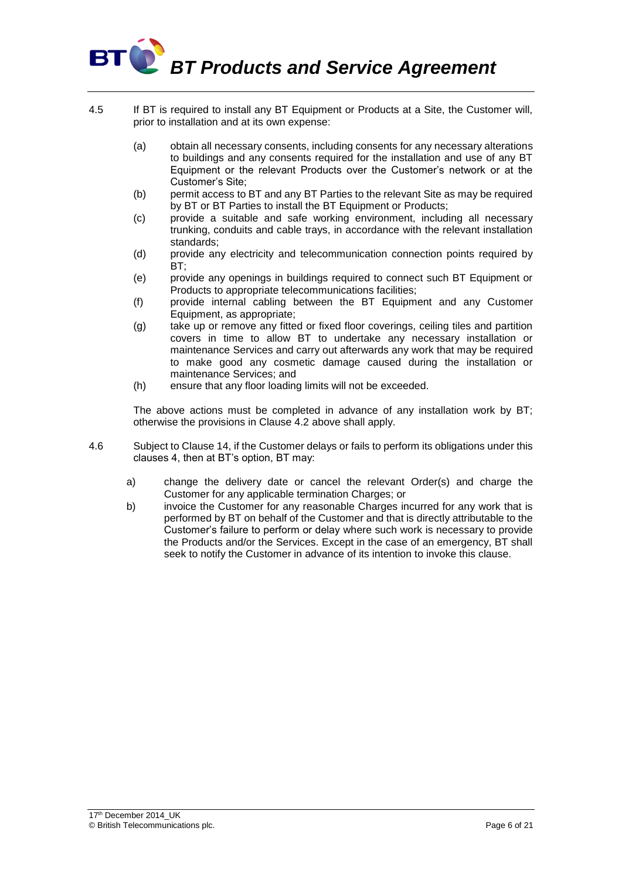## **BT BT Products and Service Agreement**

- 4.5 If BT is required to install any BT Equipment or Products at a Site, the Customer will, prior to installation and at its own expense:
	- (a) obtain all necessary consents, including consents for any necessary alterations to buildings and any consents required for the installation and use of any BT Equipment or the relevant Products over the Customer's network or at the Customer's Site;
	- (b) permit access to BT and any BT Parties to the relevant Site as may be required by BT or BT Parties to install the BT Equipment or Products;
	- (c) provide a suitable and safe working environment, including all necessary trunking, conduits and cable trays, in accordance with the relevant installation standards;
	- (d) provide any electricity and telecommunication connection points required by BT;
	- (e) provide any openings in buildings required to connect such BT Equipment or Products to appropriate telecommunications facilities;
	- (f) provide internal cabling between the BT Equipment and any Customer Equipment, as appropriate;
	- (g) take up or remove any fitted or fixed floor coverings, ceiling tiles and partition covers in time to allow BT to undertake any necessary installation or maintenance Services and carry out afterwards any work that may be required to make good any cosmetic damage caused during the installation or maintenance Services; and
	- (h) ensure that any floor loading limits will not be exceeded.

The above actions must be completed in advance of any installation work by BT; otherwise the provisions in Clause 4.2 above shall apply.

- 4.6 Subject to Clause 14, if the Customer delays or fails to perform its obligations under this clauses 4, then at BT's option, BT may:
	- a) change the delivery date or cancel the relevant Order(s) and charge the Customer for any applicable termination Charges; or
	- b) invoice the Customer for any reasonable Charges incurred for any work that is performed by BT on behalf of the Customer and that is directly attributable to the Customer's failure to perform or delay where such work is necessary to provide the Products and/or the Services. Except in the case of an emergency, BT shall seek to notify the Customer in advance of its intention to invoke this clause.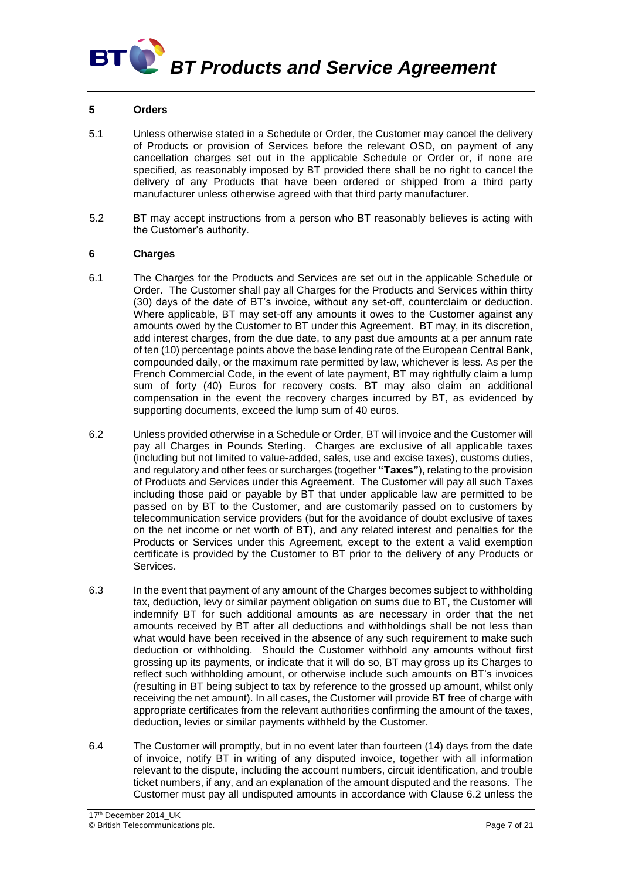## BT **BT Products and Service Agreement**

#### **5 Orders**

- 5.1 Unless otherwise stated in a Schedule or Order, the Customer may cancel the delivery of Products or provision of Services before the relevant OSD, on payment of any cancellation charges set out in the applicable Schedule or Order or, if none are specified, as reasonably imposed by BT provided there shall be no right to cancel the delivery of any Products that have been ordered or shipped from a third party manufacturer unless otherwise agreed with that third party manufacturer.
- 5.2 BT may accept instructions from a person who BT reasonably believes is acting with the Customer's authority.

#### **6 Charges**

- 6.1 The Charges for the Products and Services are set out in the applicable Schedule or Order. The Customer shall pay all Charges for the Products and Services within thirty (30) days of the date of BT's invoice, without any set-off, counterclaim or deduction. Where applicable, BT may set-off any amounts it owes to the Customer against any amounts owed by the Customer to BT under this Agreement. BT may, in its discretion, add interest charges, from the due date, to any past due amounts at a per annum rate of ten (10) percentage points above the base lending rate of the European Central Bank, compounded daily, or the maximum rate permitted by law, whichever is less. As per the French Commercial Code, in the event of late payment, BT may rightfully claim a lump sum of forty (40) Euros for recovery costs. BT may also claim an additional compensation in the event the recovery charges incurred by BT, as evidenced by supporting documents, exceed the lump sum of 40 euros.
- 6.2 Unless provided otherwise in a Schedule or Order, BT will invoice and the Customer will pay all Charges in Pounds Sterling. Charges are exclusive of all applicable taxes (including but not limited to value-added, sales, use and excise taxes), customs duties, and regulatory and other fees or surcharges (together **"Taxes"**), relating to the provision of Products and Services under this Agreement. The Customer will pay all such Taxes including those paid or payable by BT that under applicable law are permitted to be passed on by BT to the Customer, and are customarily passed on to customers by telecommunication service providers (but for the avoidance of doubt exclusive of taxes on the net income or net worth of BT), and any related interest and penalties for the Products or Services under this Agreement, except to the extent a valid exemption certificate is provided by the Customer to BT prior to the delivery of any Products or Services.
- 6.3 In the event that payment of any amount of the Charges becomes subject to withholding tax, deduction, levy or similar payment obligation on sums due to BT, the Customer will indemnify BT for such additional amounts as are necessary in order that the net amounts received by BT after all deductions and withholdings shall be not less than what would have been received in the absence of any such requirement to make such deduction or withholding. Should the Customer withhold any amounts without first grossing up its payments, or indicate that it will do so, BT may gross up its Charges to reflect such withholding amount, or otherwise include such amounts on BT's invoices (resulting in BT being subject to tax by reference to the grossed up amount, whilst only receiving the net amount). In all cases, the Customer will provide BT free of charge with appropriate certificates from the relevant authorities confirming the amount of the taxes, deduction, levies or similar payments withheld by the Customer.
- 6.4 The Customer will promptly, but in no event later than fourteen (14) days from the date of invoice, notify BT in writing of any disputed invoice, together with all information relevant to the dispute, including the account numbers, circuit identification, and trouble ticket numbers, if any, and an explanation of the amount disputed and the reasons. The Customer must pay all undisputed amounts in accordance with Clause 6.2 unless the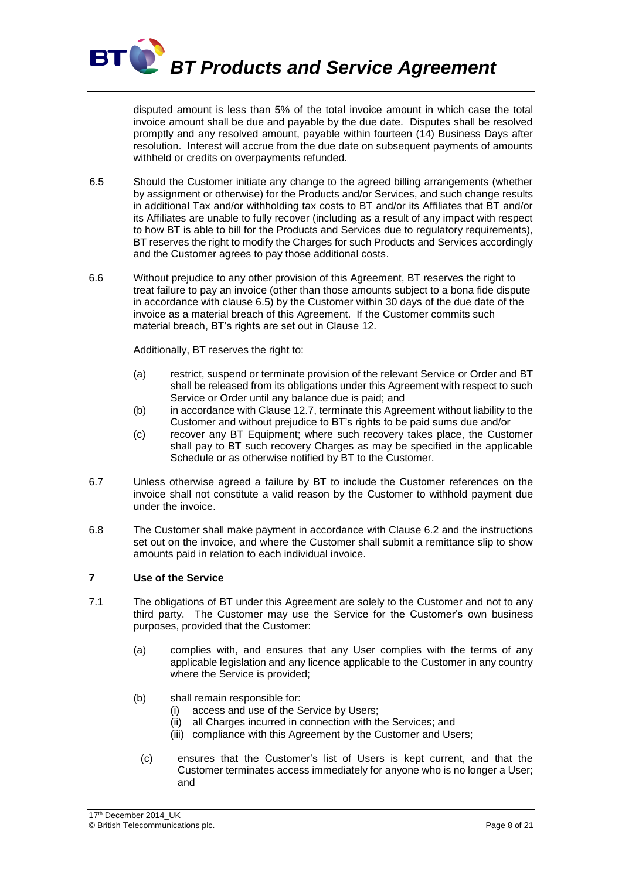

disputed amount is less than 5% of the total invoice amount in which case the total invoice amount shall be due and payable by the due date. Disputes shall be resolved promptly and any resolved amount, payable within fourteen (14) Business Days after resolution. Interest will accrue from the due date on subsequent payments of amounts withheld or credits on overpayments refunded.

- 6.5 Should the Customer initiate any change to the agreed billing arrangements (whether by assignment or otherwise) for the Products and/or Services, and such change results in additional Tax and/or withholding tax costs to BT and/or its Affiliates that BT and/or its Affiliates are unable to fully recover (including as a result of any impact with respect to how BT is able to bill for the Products and Services due to regulatory requirements), BT reserves the right to modify the Charges for such Products and Services accordingly and the Customer agrees to pay those additional costs.
- 6.6 Without prejudice to any other provision of this Agreement, BT reserves the right to treat failure to pay an invoice (other than those amounts subject to a bona fide dispute in accordance with clause 6.5) by the Customer within 30 days of the due date of the invoice as a material breach of this Agreement. If the Customer commits such material breach, BT's rights are set out in Clause 12.

Additionally, BT reserves the right to:

- (a) restrict, suspend or terminate provision of the relevant Service or Order and BT shall be released from its obligations under this Agreement with respect to such Service or Order until any balance due is paid; and
- (b) in accordance with Clause 12.7, terminate this Agreement without liability to the Customer and without prejudice to BT's rights to be paid sums due and/or
- (c) recover any BT Equipment; where such recovery takes place, the Customer shall pay to BT such recovery Charges as may be specified in the applicable Schedule or as otherwise notified by BT to the Customer.
- 6.7 Unless otherwise agreed a failure by BT to include the Customer references on the invoice shall not constitute a valid reason by the Customer to withhold payment due under the invoice.
- 6.8 The Customer shall make payment in accordance with Clause 6.2 and the instructions set out on the invoice, and where the Customer shall submit a remittance slip to show amounts paid in relation to each individual invoice.

#### **7 Use of the Service**

- 7.1 The obligations of BT under this Agreement are solely to the Customer and not to any third party. The Customer may use the Service for the Customer's own business purposes, provided that the Customer:
	- (a) complies with, and ensures that any User complies with the terms of any applicable legislation and any licence applicable to the Customer in any country where the Service is provided;
	- (b) shall remain responsible for:
		- (i) access and use of the Service by Users;
		- (ii) all Charges incurred in connection with the Services; and
		- (iii) compliance with this Agreement by the Customer and Users;
		- (c) ensures that the Customer's list of Users is kept current, and that the Customer terminates access immediately for anyone who is no longer a User; and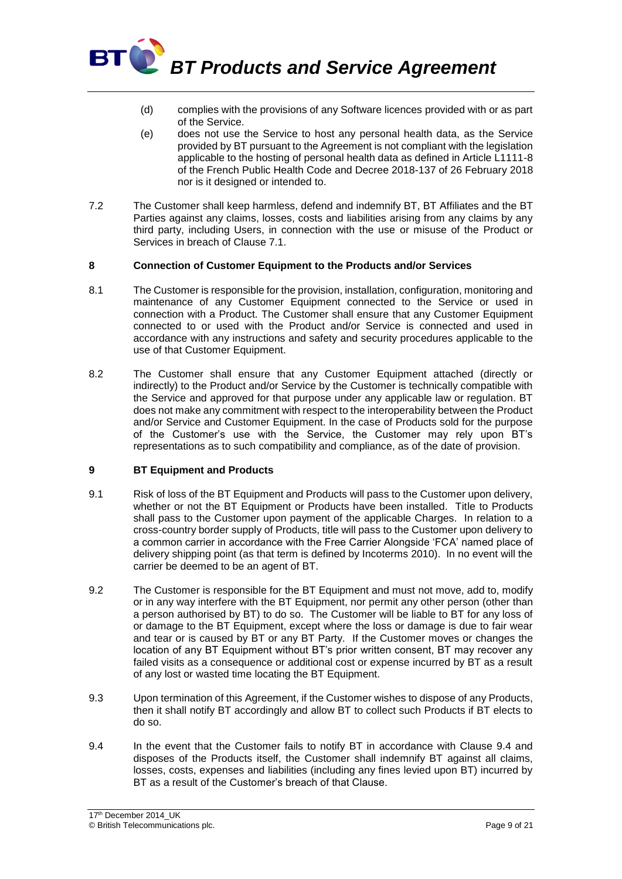

- (d) complies with the provisions of any Software licences provided with or as part of the Service.
- (e) does not use the Service to host any personal health data, as the Service provided by BT pursuant to the Agreement is not compliant with the legislation applicable to the hosting of personal health data as defined in Article L1111-8 of the French Public Health Code and Decree 2018-137 of 26 February 2018 nor is it designed or intended to.
- 7.2 The Customer shall keep harmless, defend and indemnify BT, BT Affiliates and the BT Parties against any claims, losses, costs and liabilities arising from any claims by any third party, including Users, in connection with the use or misuse of the Product or Services in breach of Clause 7.1.

#### **8 Connection of Customer Equipment to the Products and/or Services**

- 8.1 The Customer is responsible for the provision, installation, configuration, monitoring and maintenance of any Customer Equipment connected to the Service or used in connection with a Product. The Customer shall ensure that any Customer Equipment connected to or used with the Product and/or Service is connected and used in accordance with any instructions and safety and security procedures applicable to the use of that Customer Equipment.
- 8.2 The Customer shall ensure that any Customer Equipment attached (directly or indirectly) to the Product and/or Service by the Customer is technically compatible with the Service and approved for that purpose under any applicable law or regulation. BT does not make any commitment with respect to the interoperability between the Product and/or Service and Customer Equipment. In the case of Products sold for the purpose of the Customer's use with the Service, the Customer may rely upon BT's representations as to such compatibility and compliance, as of the date of provision.

#### **9 BT Equipment and Products**

- 9.1 Risk of loss of the BT Equipment and Products will pass to the Customer upon delivery, whether or not the BT Equipment or Products have been installed. Title to Products shall pass to the Customer upon payment of the applicable Charges. In relation to a cross-country border supply of Products, title will pass to the Customer upon delivery to a common carrier in accordance with the Free Carrier Alongside 'FCA' named place of delivery shipping point (as that term is defined by Incoterms 2010). In no event will the carrier be deemed to be an agent of BT.
- 9.2 The Customer is responsible for the BT Equipment and must not move, add to, modify or in any way interfere with the BT Equipment, nor permit any other person (other than a person authorised by BT) to do so. The Customer will be liable to BT for any loss of or damage to the BT Equipment, except where the loss or damage is due to fair wear and tear or is caused by BT or any BT Party. If the Customer moves or changes the location of any BT Equipment without BT's prior written consent, BT may recover any failed visits as a consequence or additional cost or expense incurred by BT as a result of any lost or wasted time locating the BT Equipment.
- 9.3 Upon termination of this Agreement, if the Customer wishes to dispose of any Products, then it shall notify BT accordingly and allow BT to collect such Products if BT elects to do so.
- 9.4 In the event that the Customer fails to notify BT in accordance with Clause 9.4 and disposes of the Products itself, the Customer shall indemnify BT against all claims, losses, costs, expenses and liabilities (including any fines levied upon BT) incurred by BT as a result of the Customer's breach of that Clause.

<sup>17&</sup>lt;sup>th</sup> December 2014\_UK © British Telecommunications plc. Page 9 of 21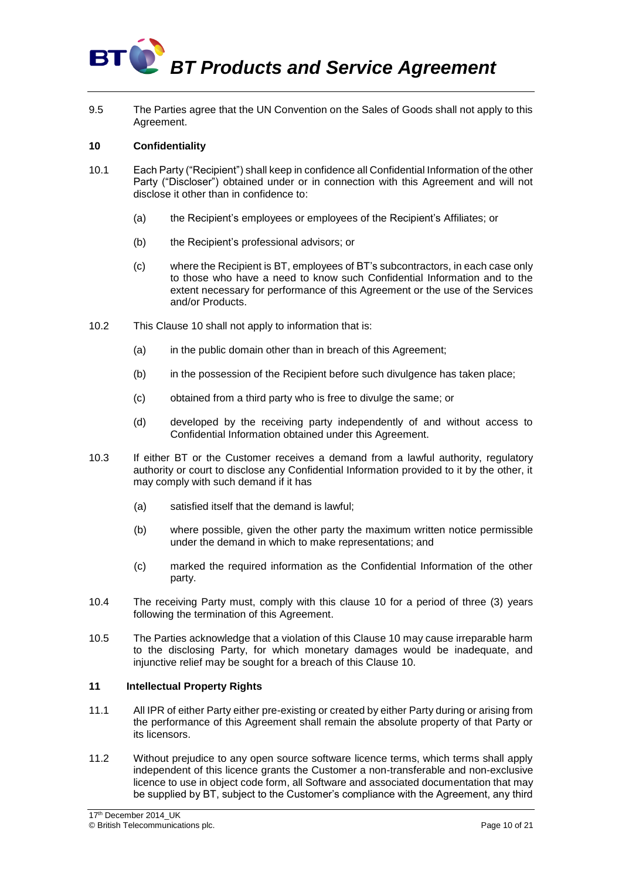

9.5 The Parties agree that the UN Convention on the Sales of Goods shall not apply to this Agreement.

#### **10 Confidentiality**

- 10.1 Each Party ("Recipient") shall keep in confidence all Confidential Information of the other Party ("Discloser") obtained under or in connection with this Agreement and will not disclose it other than in confidence to:
	- (a) the Recipient's employees or employees of the Recipient's Affiliates; or
	- (b) the Recipient's professional advisors; or
	- (c) where the Recipient is BT, employees of BT's subcontractors, in each case only to those who have a need to know such Confidential Information and to the extent necessary for performance of this Agreement or the use of the Services and/or Products.
- 10.2 This Clause 10 shall not apply to information that is:
	- (a) in the public domain other than in breach of this Agreement;
	- (b) in the possession of the Recipient before such divulgence has taken place;
	- (c) obtained from a third party who is free to divulge the same; or
	- (d) developed by the receiving party independently of and without access to Confidential Information obtained under this Agreement.
- 10.3 If either BT or the Customer receives a demand from a lawful authority, regulatory authority or court to disclose any Confidential Information provided to it by the other, it may comply with such demand if it has
	- (a) satisfied itself that the demand is lawful;
	- (b) where possible, given the other party the maximum written notice permissible under the demand in which to make representations; and
	- (c) marked the required information as the Confidential Information of the other party.
- 10.4 The receiving Party must, comply with this clause 10 for a period of three (3) years following the termination of this Agreement.
- 10.5 The Parties acknowledge that a violation of this Clause 10 may cause irreparable harm to the disclosing Party, for which monetary damages would be inadequate, and injunctive relief may be sought for a breach of this Clause 10.

#### **11 Intellectual Property Rights**

- 11.1 All IPR of either Party either pre-existing or created by either Party during or arising from the performance of this Agreement shall remain the absolute property of that Party or its licensors.
- 11.2 Without prejudice to any open source software licence terms, which terms shall apply independent of this licence grants the Customer a non-transferable and non-exclusive licence to use in object code form, all Software and associated documentation that may be supplied by BT, subject to the Customer's compliance with the Agreement, any third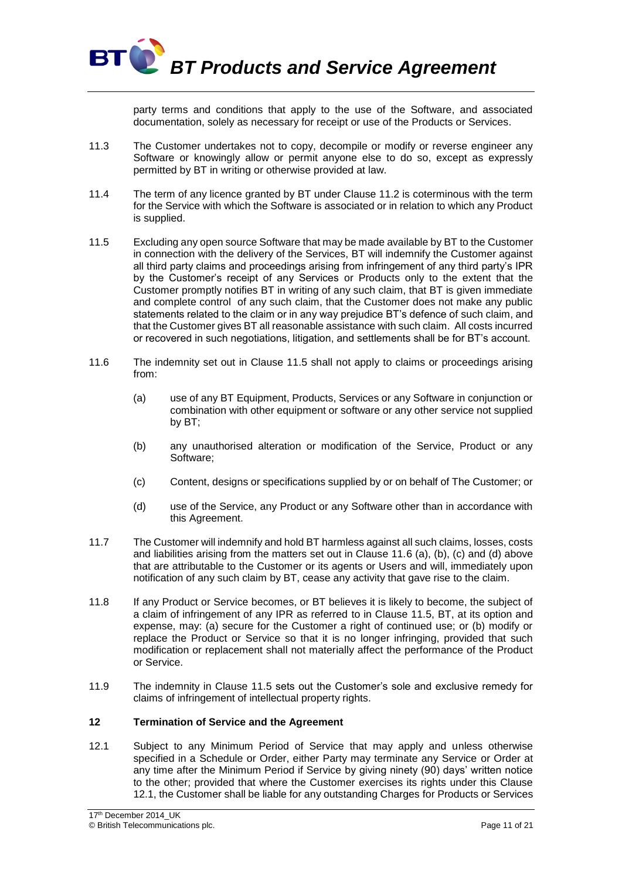

party terms and conditions that apply to the use of the Software, and associated documentation, solely as necessary for receipt or use of the Products or Services.

- 11.3 The Customer undertakes not to copy, decompile or modify or reverse engineer any Software or knowingly allow or permit anyone else to do so, except as expressly permitted by BT in writing or otherwise provided at law.
- 11.4 The term of any licence granted by BT under Clause 11.2 is coterminous with the term for the Service with which the Software is associated or in relation to which any Product is supplied.
- 11.5 Excluding any open source Software that may be made available by BT to the Customer in connection with the delivery of the Services, BT will indemnify the Customer against all third party claims and proceedings arising from infringement of any third party's IPR by the Customer's receipt of any Services or Products only to the extent that the Customer promptly notifies BT in writing of any such claim, that BT is given immediate and complete control of any such claim, that the Customer does not make any public statements related to the claim or in any way prejudice BT's defence of such claim, and that the Customer gives BT all reasonable assistance with such claim. All costs incurred or recovered in such negotiations, litigation, and settlements shall be for BT's account.
- 11.6 The indemnity set out in Clause 11.5 shall not apply to claims or proceedings arising from:
	- (a) use of any BT Equipment, Products, Services or any Software in conjunction or combination with other equipment or software or any other service not supplied by BT;
	- (b) any unauthorised alteration or modification of the Service, Product or any Software;
	- (c) Content, designs or specifications supplied by or on behalf of The Customer; or
	- (d) use of the Service, any Product or any Software other than in accordance with this Agreement.
- 11.7 The Customer will indemnify and hold BT harmless against all such claims, losses, costs and liabilities arising from the matters set out in Clause 11.6 (a), (b), (c) and (d) above that are attributable to the Customer or its agents or Users and will, immediately upon notification of any such claim by BT, cease any activity that gave rise to the claim.
- 11.8 If any Product or Service becomes, or BT believes it is likely to become, the subject of a claim of infringement of any IPR as referred to in Clause 11.5, BT, at its option and expense, may: (a) secure for the Customer a right of continued use; or (b) modify or replace the Product or Service so that it is no longer infringing, provided that such modification or replacement shall not materially affect the performance of the Product or Service.
- 11.9 The indemnity in Clause 11.5 sets out the Customer's sole and exclusive remedy for claims of infringement of intellectual property rights.

#### **12 Termination of Service and the Agreement**

12.1 Subject to any Minimum Period of Service that may apply and unless otherwise specified in a Schedule or Order, either Party may terminate any Service or Order at any time after the Minimum Period if Service by giving ninety (90) days' written notice to the other; provided that where the Customer exercises its rights under this Clause 12.1, the Customer shall be liable for any outstanding Charges for Products or Services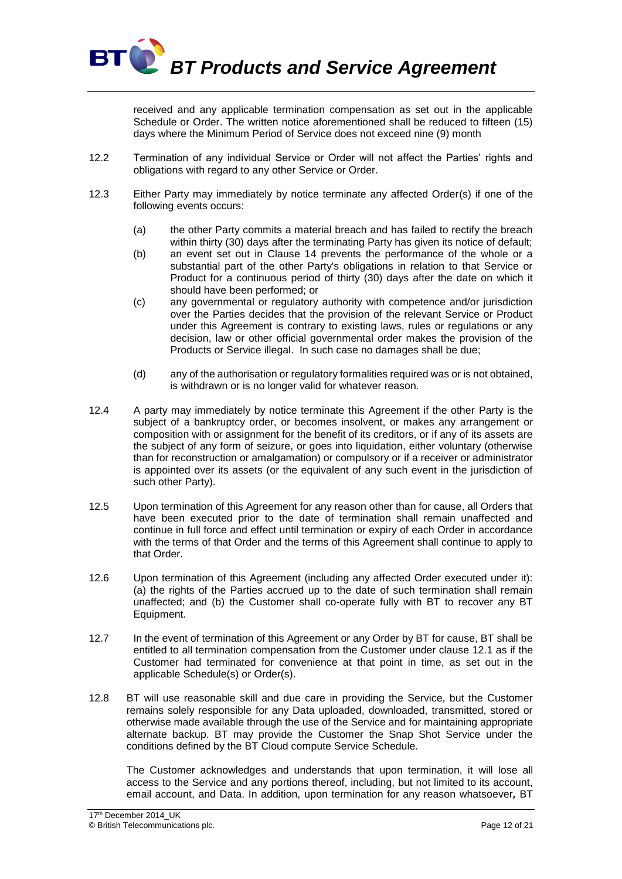

received and any applicable termination compensation as set out in the applicable Schedule or Order. The written notice aforementioned shall be reduced to fifteen (15) days where the Minimum Period of Service does not exceed nine (9) month

- 12.2 Termination of any individual Service or Order will not affect the Parties' rights and obligations with regard to any other Service or Order.
- 12.3 Either Party may immediately by notice terminate any affected Order(s) if one of the following events occurs:
	- (a) the other Party commits a material breach and has failed to rectify the breach within thirty (30) days after the terminating Party has given its notice of default;
	- (b) an event set out in Clause 14 prevents the performance of the whole or a substantial part of the other Party's obligations in relation to that Service or Product for a continuous period of thirty (30) days after the date on which it should have been performed; or
	- (c) any governmental or regulatory authority with competence and/or jurisdiction over the Parties decides that the provision of the relevant Service or Product under this Agreement is contrary to existing laws, rules or regulations or any decision, law or other official governmental order makes the provision of the Products or Service illegal. In such case no damages shall be due;
	- (d) any of the authorisation or regulatory formalities required was or is not obtained, is withdrawn or is no longer valid for whatever reason.
- 12.4 A party may immediately by notice terminate this Agreement if the other Party is the subject of a bankruptcy order, or becomes insolvent, or makes any arrangement or composition with or assignment for the benefit of its creditors, or if any of its assets are the subject of any form of seizure, or goes into liquidation, either voluntary (otherwise than for reconstruction or amalgamation) or compulsory or if a receiver or administrator is appointed over its assets (or the equivalent of any such event in the jurisdiction of such other Party).
- 12.5 Upon termination of this Agreement for any reason other than for cause, all Orders that have been executed prior to the date of termination shall remain unaffected and continue in full force and effect until termination or expiry of each Order in accordance with the terms of that Order and the terms of this Agreement shall continue to apply to that Order.
- 12.6 Upon termination of this Agreement (including any affected Order executed under it): (a) the rights of the Parties accrued up to the date of such termination shall remain unaffected; and (b) the Customer shall co-operate fully with BT to recover any BT Equipment.
- 12.7 In the event of termination of this Agreement or any Order by BT for cause, BT shall be entitled to all termination compensation from the Customer under clause 12.1 as if the Customer had terminated for convenience at that point in time, as set out in the applicable Schedule(s) or Order(s).
- 12.8 BT will use reasonable skill and due care in providing the Service, but the Customer remains solely responsible for any Data uploaded, downloaded, transmitted, stored or otherwise made available through the use of the Service and for maintaining appropriate alternate backup. BT may provide the Customer the Snap Shot Service under the conditions defined by the BT Cloud compute Service Schedule.

The Customer acknowledges and understands that upon termination, it will lose all access to the Service and any portions thereof, including, but not limited to its account, email account, and Data. In addition, upon termination for any reason whatsoever*,* BT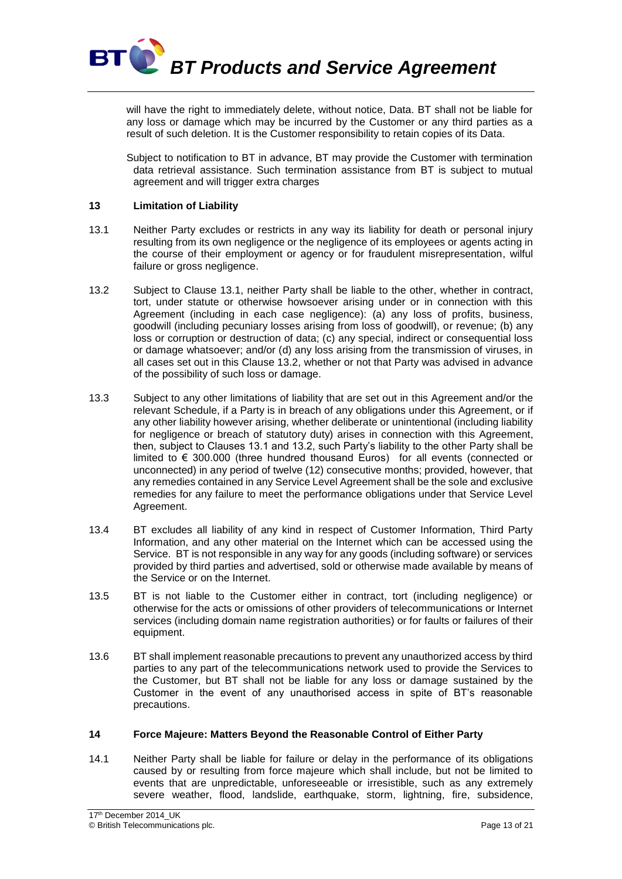

will have the right to immediately delete, without notice, Data. BT shall not be liable for any loss or damage which may be incurred by the Customer or any third parties as a result of such deletion. It is the Customer responsibility to retain copies of its Data.

Subject to notification to BT in advance, BT may provide the Customer with termination data retrieval assistance. Such termination assistance from BT is subject to mutual agreement and will trigger extra charges

#### **13 Limitation of Liability**

- 13.1 Neither Party excludes or restricts in any way its liability for death or personal injury resulting from its own negligence or the negligence of its employees or agents acting in the course of their employment or agency or for fraudulent misrepresentation, wilful failure or gross negligence.
- 13.2 Subject to Clause 13.1, neither Party shall be liable to the other, whether in contract, tort, under statute or otherwise howsoever arising under or in connection with this Agreement (including in each case negligence): (a) any loss of profits, business, goodwill (including pecuniary losses arising from loss of goodwill), or revenue; (b) any loss or corruption or destruction of data; (c) any special, indirect or consequential loss or damage whatsoever; and/or (d) any loss arising from the transmission of viruses, in all cases set out in this Clause 13.2, whether or not that Party was advised in advance of the possibility of such loss or damage.
- 13.3 Subject to any other limitations of liability that are set out in this Agreement and/or the relevant Schedule, if a Party is in breach of any obligations under this Agreement, or if any other liability however arising, whether deliberate or unintentional (including liability for negligence or breach of statutory duty) arises in connection with this Agreement, then, subject to Clauses 13.1 and 13.2, such Party's liability to the other Party shall be limited to  $\epsilon$  300.000 (three hundred thousand Euros) for all events (connected or unconnected) in any period of twelve (12) consecutive months; provided, however, that any remedies contained in any Service Level Agreement shall be the sole and exclusive remedies for any failure to meet the performance obligations under that Service Level Agreement.
- 13.4 BT excludes all liability of any kind in respect of Customer Information, Third Party Information, and any other material on the Internet which can be accessed using the Service. BT is not responsible in any way for any goods (including software) or services provided by third parties and advertised, sold or otherwise made available by means of the Service or on the Internet.
- 13.5 BT is not liable to the Customer either in contract, tort (including negligence) or otherwise for the acts or omissions of other providers of telecommunications or Internet services (including domain name registration authorities) or for faults or failures of their equipment.
- 13.6 BT shall implement reasonable precautions to prevent any unauthorized access by third parties to any part of the telecommunications network used to provide the Services to the Customer, but BT shall not be liable for any loss or damage sustained by the Customer in the event of any unauthorised access in spite of BT's reasonable precautions.

#### **14 Force Majeure: Matters Beyond the Reasonable Control of Either Party**

14.1 Neither Party shall be liable for failure or delay in the performance of its obligations caused by or resulting from force majeure which shall include, but not be limited to events that are unpredictable, unforeseeable or irresistible, such as any extremely severe weather, flood, landslide, earthquake, storm, lightning, fire, subsidence,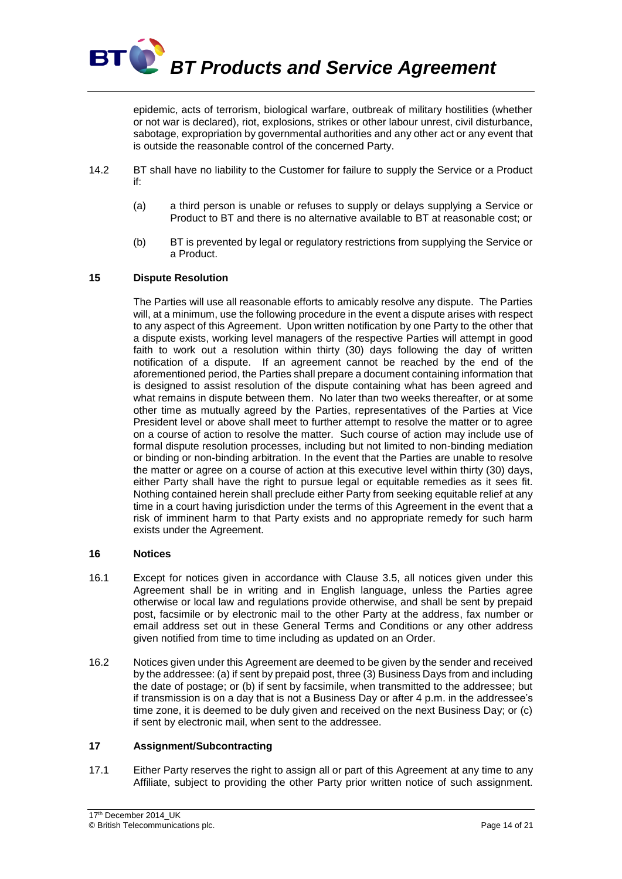

epidemic, acts of terrorism, biological warfare, outbreak of military hostilities (whether or not war is declared), riot, explosions, strikes or other labour unrest, civil disturbance, sabotage, expropriation by governmental authorities and any other act or any event that is outside the reasonable control of the concerned Party.

- 14.2 BT shall have no liability to the Customer for failure to supply the Service or a Product if:
	- (a) a third person is unable or refuses to supply or delays supplying a Service or Product to BT and there is no alternative available to BT at reasonable cost; or
	- (b) BT is prevented by legal or regulatory restrictions from supplying the Service or a Product.

#### **15 Dispute Resolution**

The Parties will use all reasonable efforts to amicably resolve any dispute. The Parties will, at a minimum, use the following procedure in the event a dispute arises with respect to any aspect of this Agreement. Upon written notification by one Party to the other that a dispute exists, working level managers of the respective Parties will attempt in good faith to work out a resolution within thirty (30) days following the day of written notification of a dispute. If an agreement cannot be reached by the end of the aforementioned period, the Parties shall prepare a document containing information that is designed to assist resolution of the dispute containing what has been agreed and what remains in dispute between them. No later than two weeks thereafter, or at some other time as mutually agreed by the Parties, representatives of the Parties at Vice President level or above shall meet to further attempt to resolve the matter or to agree on a course of action to resolve the matter. Such course of action may include use of formal dispute resolution processes, including but not limited to non-binding mediation or binding or non-binding arbitration. In the event that the Parties are unable to resolve the matter or agree on a course of action at this executive level within thirty (30) days, either Party shall have the right to pursue legal or equitable remedies as it sees fit. Nothing contained herein shall preclude either Party from seeking equitable relief at any time in a court having jurisdiction under the terms of this Agreement in the event that a risk of imminent harm to that Party exists and no appropriate remedy for such harm exists under the Agreement.

#### **16 Notices**

- 16.1 Except for notices given in accordance with Clause 3.5, all notices given under this Agreement shall be in writing and in English language, unless the Parties agree otherwise or local law and regulations provide otherwise, and shall be sent by prepaid post, facsimile or by electronic mail to the other Party at the address, fax number or email address set out in these General Terms and Conditions or any other address given notified from time to time including as updated on an Order.
- 16.2 Notices given under this Agreement are deemed to be given by the sender and received by the addressee: (a) if sent by prepaid post, three (3) Business Days from and including the date of postage; or (b) if sent by facsimile, when transmitted to the addressee; but if transmission is on a day that is not a Business Day or after 4 p.m. in the addressee's time zone, it is deemed to be duly given and received on the next Business Day; or (c) if sent by electronic mail, when sent to the addressee.

#### **17 Assignment/Subcontracting**

17.1 Either Party reserves the right to assign all or part of this Agreement at any time to any Affiliate, subject to providing the other Party prior written notice of such assignment.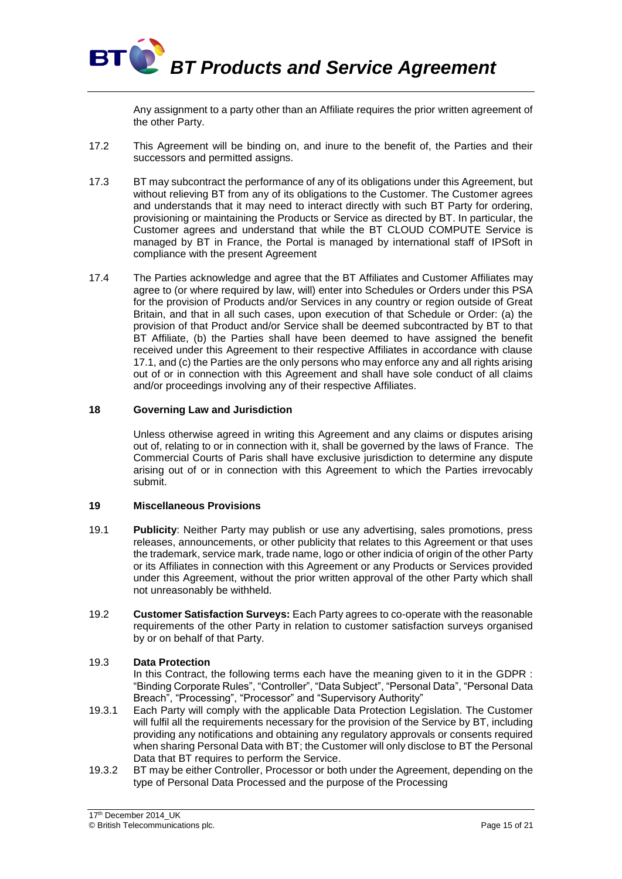

Any assignment to a party other than an Affiliate requires the prior written agreement of the other Party.

- 17.2 This Agreement will be binding on, and inure to the benefit of, the Parties and their successors and permitted assigns.
- 17.3 BT may subcontract the performance of any of its obligations under this Agreement, but without relieving BT from any of its obligations to the Customer. The Customer agrees and understands that it may need to interact directly with such BT Party for ordering, provisioning or maintaining the Products or Service as directed by BT. In particular, the Customer agrees and understand that while the BT CLOUD COMPUTE Service is managed by BT in France, the Portal is managed by international staff of IPSoft in compliance with the present Agreement
- 17.4 The Parties acknowledge and agree that the BT Affiliates and Customer Affiliates may agree to (or where required by law, will) enter into Schedules or Orders under this PSA for the provision of Products and/or Services in any country or region outside of Great Britain, and that in all such cases, upon execution of that Schedule or Order: (a) the provision of that Product and/or Service shall be deemed subcontracted by BT to that BT Affiliate, (b) the Parties shall have been deemed to have assigned the benefit received under this Agreement to their respective Affiliates in accordance with clause 17.1, and (c) the Parties are the only persons who may enforce any and all rights arising out of or in connection with this Agreement and shall have sole conduct of all claims and/or proceedings involving any of their respective Affiliates.

#### **18 Governing Law and Jurisdiction**

Unless otherwise agreed in writing this Agreement and any claims or disputes arising out of, relating to or in connection with it, shall be governed by the laws of France. The Commercial Courts of Paris shall have exclusive jurisdiction to determine any dispute arising out of or in connection with this Agreement to which the Parties irrevocably submit.

#### **19 Miscellaneous Provisions**

- 19.1 **Publicity**: Neither Party may publish or use any advertising, sales promotions, press releases, announcements, or other publicity that relates to this Agreement or that uses the trademark, service mark, trade name, logo or other indicia of origin of the other Party or its Affiliates in connection with this Agreement or any Products or Services provided under this Agreement, without the prior written approval of the other Party which shall not unreasonably be withheld.
- 19.2 **Customer Satisfaction Surveys:** Each Party agrees to co-operate with the reasonable requirements of the other Party in relation to customer satisfaction surveys organised by or on behalf of that Party.

#### 19.3 **Data Protection**

In this Contract, the following terms each have the meaning given to it in the GDPR : "Binding Corporate Rules", "Controller", "Data Subject", "Personal Data", "Personal Data Breach", "Processing", "Processor" and "Supervisory Authority"

- 19.3.1 Each Party will comply with the applicable Data Protection Legislation. The Customer will fulfil all the requirements necessary for the provision of the Service by BT, including providing any notifications and obtaining any regulatory approvals or consents required when sharing Personal Data with BT; the Customer will only disclose to BT the Personal Data that BT requires to perform the Service.
- 19.3.2 BT may be either Controller, Processor or both under the Agreement, depending on the type of Personal Data Processed and the purpose of the Processing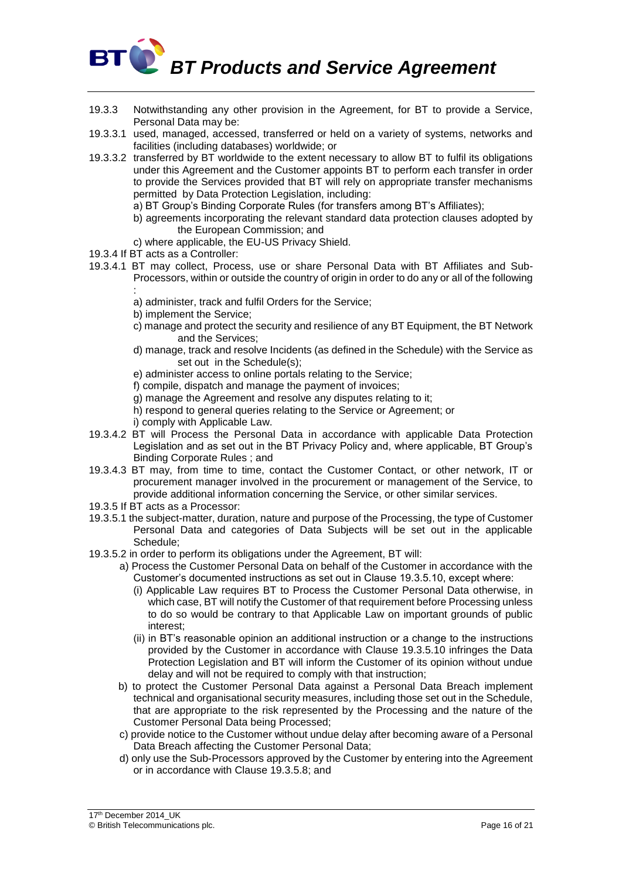# **BT CO** BT Products and Service Agreement

- 19.3.3 Notwithstanding any other provision in the Agreement, for BT to provide a Service, Personal Data may be:
- 19.3.3.1 used, managed, accessed, transferred or held on a variety of systems, networks and facilities (including databases) worldwide; or
- 19.3.3.2 transferred by BT worldwide to the extent necessary to allow BT to fulfil its obligations under this Agreement and the Customer appoints BT to perform each transfer in order to provide the Services provided that BT will rely on appropriate transfer mechanisms permitted by Data Protection Legislation, including:
	- a) BT Group's Binding Corporate Rules (for transfers among BT's Affiliates);
	- b) agreements incorporating the relevant standard data protection clauses adopted by the European Commission; and
	- c) where applicable, the EU-US Privacy Shield.
- 19.3.4 If BT acts as a Controller:
- 19.3.4.1 BT may collect, Process, use or share Personal Data with BT Affiliates and Sub-Processors, within or outside the country of origin in order to do any or all of the following
	- : a) administer, track and fulfil Orders for the Service;
	- b) implement the Service;
	- c) manage and protect the security and resilience of any BT Equipment, the BT Network and the Services;
	- d) manage, track and resolve Incidents (as defined in the Schedule) with the Service as set out in the Schedule(s);
	- e) administer access to online portals relating to the Service;
	- f) compile, dispatch and manage the payment of invoices;
	- g) manage the Agreement and resolve any disputes relating to it;
	- h) respond to general queries relating to the Service or Agreement; or
	- i) comply with Applicable Law.
- 19.3.4.2 BT will Process the Personal Data in accordance with applicable Data Protection Legislation and as set out in the BT Privacy Policy and, where applicable, BT Group's Binding Corporate Rules ; and
- 19.3.4.3 BT may, from time to time, contact the Customer Contact, or other network, IT or procurement manager involved in the procurement or management of the Service, to provide additional information concerning the Service, or other similar services.
- 19.3.5 If BT acts as a Processor:
- 19.3.5.1 the subject-matter, duration, nature and purpose of the Processing, the type of Customer Personal Data and categories of Data Subjects will be set out in the applicable Schedule;
- 19.3.5.2 in order to perform its obligations under the Agreement, BT will:
	- a) Process the Customer Personal Data on behalf of the Customer in accordance with the Customer's documented instructions as set out in Clause 19.3.5.10, except where:
		- (i) Applicable Law requires BT to Process the Customer Personal Data otherwise, in which case, BT will notify the Customer of that requirement before Processing unless to do so would be contrary to that Applicable Law on important grounds of public interest;
		- (ii) in BT's reasonable opinion an additional instruction or a change to the instructions provided by the Customer in accordance with Clause 19.3.5.10 infringes the Data Protection Legislation and BT will inform the Customer of its opinion without undue delay and will not be required to comply with that instruction;
	- b) to protect the Customer Personal Data against a Personal Data Breach implement technical and organisational security measures, including those set out in the Schedule, that are appropriate to the risk represented by the Processing and the nature of the Customer Personal Data being Processed;
	- c) provide notice to the Customer without undue delay after becoming aware of a Personal Data Breach affecting the Customer Personal Data;
	- d) only use the Sub-Processors approved by the Customer by entering into the Agreement or in accordance with Clause 19.3.5.8; and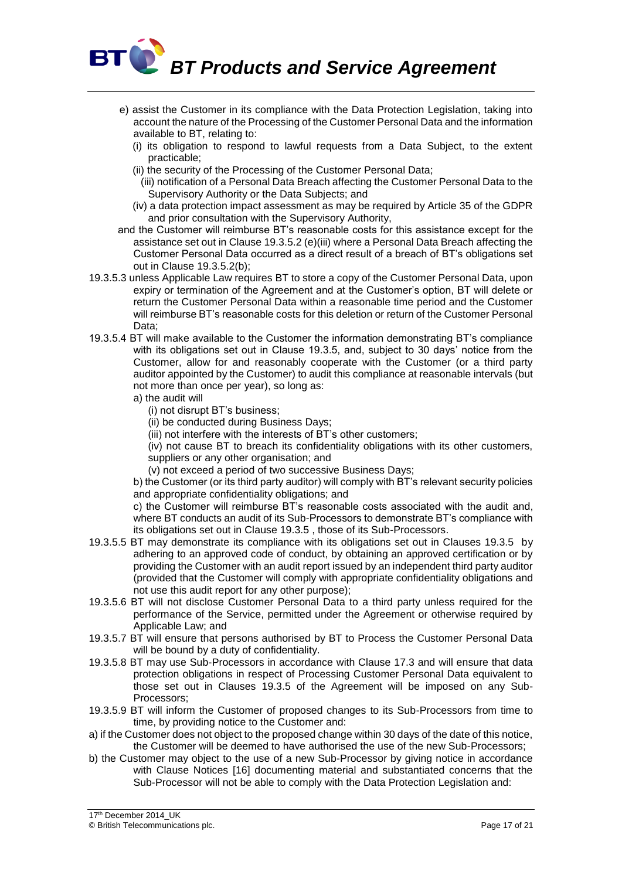

- e) assist the Customer in its compliance with the Data Protection Legislation, taking into account the nature of the Processing of the Customer Personal Data and the information available to BT, relating to:
	- (i) its obligation to respond to lawful requests from a Data Subject, to the extent practicable;
	- (ii) the security of the Processing of the Customer Personal Data;
		- (iii) notification of a Personal Data Breach affecting the Customer Personal Data to the Supervisory Authority or the Data Subjects; and
	- (iv) a data protection impact assessment as may be required by Article 35 of the GDPR and prior consultation with the Supervisory Authority,
- and the Customer will reimburse BT's reasonable costs for this assistance except for the assistance set out in Clause 19.3.5.2 (e)(iii) where a Personal Data Breach affecting the Customer Personal Data occurred as a direct result of a breach of BT's obligations set out in Clause 19.3.5.2(b);
- 19.3.5.3 unless Applicable Law requires BT to store a copy of the Customer Personal Data, upon expiry or termination of the Agreement and at the Customer's option, BT will delete or return the Customer Personal Data within a reasonable time period and the Customer will reimburse BT's reasonable costs for this deletion or return of the Customer Personal Data;
- 19.3.5.4 BT will make available to the Customer the information demonstrating BT's compliance with its obligations set out in Clause 19.3.5, and, subject to 30 days' notice from the Customer, allow for and reasonably cooperate with the Customer (or a third party auditor appointed by the Customer) to audit this compliance at reasonable intervals (but not more than once per year), so long as:
	- a) the audit will
		- (i) not disrupt BT's business;
		- (ii) be conducted during Business Days;
		- (iii) not interfere with the interests of BT's other customers;

(iv) not cause BT to breach its confidentiality obligations with its other customers, suppliers or any other organisation; and

(v) not exceed a period of two successive Business Days;

b) the Customer (or its third party auditor) will comply with BT's relevant security policies and appropriate confidentiality obligations; and

c) the Customer will reimburse BT's reasonable costs associated with the audit and, where BT conducts an audit of its Sub-Processors to demonstrate BT's compliance with its obligations set out in Clause 19.3.5 , those of its Sub-Processors.

- 19.3.5.5 BT may demonstrate its compliance with its obligations set out in Clauses 19.3.5 by adhering to an approved code of conduct, by obtaining an approved certification or by providing the Customer with an audit report issued by an independent third party auditor (provided that the Customer will comply with appropriate confidentiality obligations and not use this audit report for any other purpose);
- 19.3.5.6 BT will not disclose Customer Personal Data to a third party unless required for the performance of the Service, permitted under the Agreement or otherwise required by Applicable Law; and
- 19.3.5.7 BT will ensure that persons authorised by BT to Process the Customer Personal Data will be bound by a duty of confidentiality.
- 19.3.5.8 BT may use Sub-Processors in accordance with Clause 17.3 and will ensure that data protection obligations in respect of Processing Customer Personal Data equivalent to those set out in Clauses 19.3.5 of the Agreement will be imposed on any Sub-Processors;
- 19.3.5.9 BT will inform the Customer of proposed changes to its Sub-Processors from time to time, by providing notice to the Customer and:
- a) if the Customer does not object to the proposed change within 30 days of the date of this notice, the Customer will be deemed to have authorised the use of the new Sub-Processors;
- b) the Customer may object to the use of a new Sub-Processor by giving notice in accordance with Clause Notices [16] documenting material and substantiated concerns that the Sub-Processor will not be able to comply with the Data Protection Legislation and:

17<sup>th</sup> December 2014\_UK © British Telecommunications plc. Page 17 of 21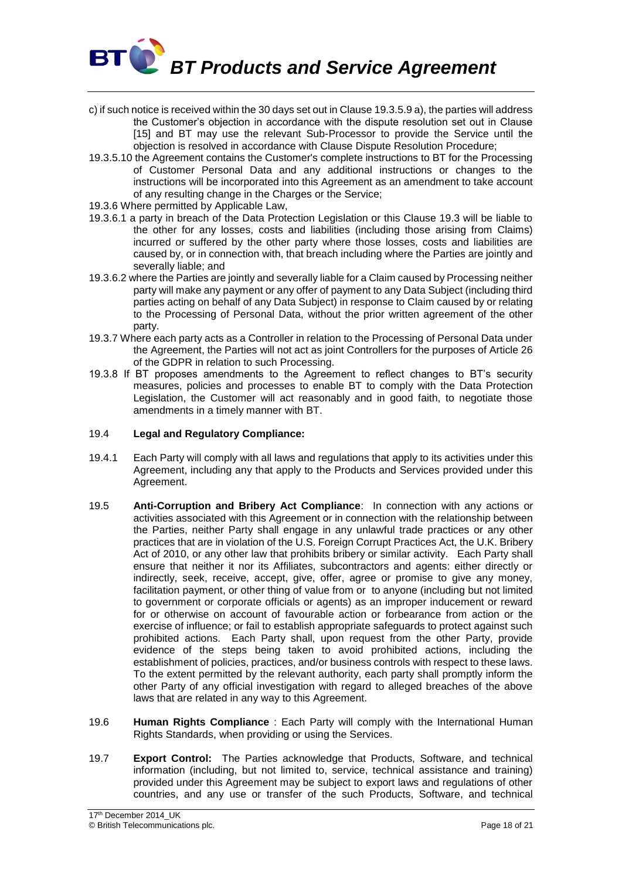

- c) if such notice is received within the 30 days set out in Clause 19.3.5.9 a), the parties will address the Customer's objection in accordance with the dispute resolution set out in Clause [15] and BT may use the relevant Sub-Processor to provide the Service until the objection is resolved in accordance with Clause Dispute Resolution Procedure;
- 19.3.5.10 the Agreement contains the Customer's complete instructions to BT for the Processing of Customer Personal Data and any additional instructions or changes to the instructions will be incorporated into this Agreement as an amendment to take account of any resulting change in the Charges or the Service;
- 19.3.6 Where permitted by Applicable Law,
- 19.3.6.1 a party in breach of the Data Protection Legislation or this Clause 19.3 will be liable to the other for any losses, costs and liabilities (including those arising from Claims) incurred or suffered by the other party where those losses, costs and liabilities are caused by, or in connection with, that breach including where the Parties are jointly and severally liable; and
- 19.3.6.2 where the Parties are jointly and severally liable for a Claim caused by Processing neither party will make any payment or any offer of payment to any Data Subject (including third parties acting on behalf of any Data Subject) in response to Claim caused by or relating to the Processing of Personal Data, without the prior written agreement of the other party.
- 19.3.7 Where each party acts as a Controller in relation to the Processing of Personal Data under the Agreement, the Parties will not act as joint Controllers for the purposes of Article 26 of the GDPR in relation to such Processing.
- 19.3.8 If BT proposes amendments to the Agreement to reflect changes to BT's security measures, policies and processes to enable BT to comply with the Data Protection Legislation, the Customer will act reasonably and in good faith, to negotiate those amendments in a timely manner with BT.

#### 19.4 **Legal and Regulatory Compliance:**

- 19.4.1 Each Party will comply with all laws and regulations that apply to its activities under this Agreement, including any that apply to the Products and Services provided under this Agreement.
- 19.5 **Anti-Corruption and Bribery Act Compliance**: In connection with any actions or activities associated with this Agreement or in connection with the relationship between the Parties, neither Party shall engage in any unlawful trade practices or any other practices that are in violation of the U.S. Foreign Corrupt Practices Act, the U.K. Bribery Act of 2010, or any other law that prohibits bribery or similar activity. Each Party shall ensure that neither it nor its Affiliates, subcontractors and agents: either directly or indirectly, seek, receive, accept, give, offer, agree or promise to give any money, facilitation payment, or other thing of value from or to anyone (including but not limited to government or corporate officials or agents) as an improper inducement or reward for or otherwise on account of favourable action or forbearance from action or the exercise of influence; or fail to establish appropriate safeguards to protect against such prohibited actions. Each Party shall, upon request from the other Party, provide evidence of the steps being taken to avoid prohibited actions, including the establishment of policies, practices, and/or business controls with respect to these laws. To the extent permitted by the relevant authority, each party shall promptly inform the other Party of any official investigation with regard to alleged breaches of the above laws that are related in any way to this Agreement.
- 19.6 **Human Rights Compliance** : Each Party will comply with the International Human Rights Standards, when providing or using the Services.
- 19.7 **Export Control:** The Parties acknowledge that Products, Software, and technical information (including, but not limited to, service, technical assistance and training) provided under this Agreement may be subject to export laws and regulations of other countries, and any use or transfer of the such Products, Software, and technical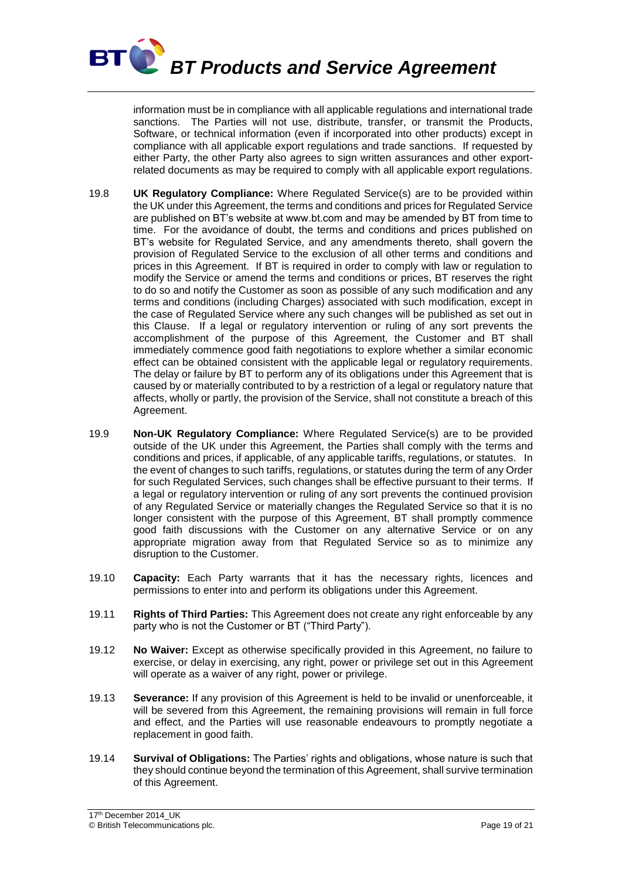

information must be in compliance with all applicable regulations and international trade sanctions. The Parties will not use, distribute, transfer, or transmit the Products, Software, or technical information (even if incorporated into other products) except in compliance with all applicable export regulations and trade sanctions. If requested by either Party, the other Party also agrees to sign written assurances and other exportrelated documents as may be required to comply with all applicable export regulations.

- 19.8 **UK Regulatory Compliance:** Where Regulated Service(s) are to be provided within the UK under this Agreement, the terms and conditions and prices for Regulated Service are published on BT's website at www.bt.com and may be amended by BT from time to time. For the avoidance of doubt, the terms and conditions and prices published on BT's website for Regulated Service, and any amendments thereto, shall govern the provision of Regulated Service to the exclusion of all other terms and conditions and prices in this Agreement. If BT is required in order to comply with law or regulation to modify the Service or amend the terms and conditions or prices, BT reserves the right to do so and notify the Customer as soon as possible of any such modification and any terms and conditions (including Charges) associated with such modification, except in the case of Regulated Service where any such changes will be published as set out in this Clause. If a legal or regulatory intervention or ruling of any sort prevents the accomplishment of the purpose of this Agreement, the Customer and BT shall immediately commence good faith negotiations to explore whether a similar economic effect can be obtained consistent with the applicable legal or regulatory requirements. The delay or failure by BT to perform any of its obligations under this Agreement that is caused by or materially contributed to by a restriction of a legal or regulatory nature that affects, wholly or partly, the provision of the Service, shall not constitute a breach of this Agreement.
- 19.9 **Non-UK Regulatory Compliance:** Where Regulated Service(s) are to be provided outside of the UK under this Agreement, the Parties shall comply with the terms and conditions and prices, if applicable, of any applicable tariffs, regulations, or statutes. In the event of changes to such tariffs, regulations, or statutes during the term of any Order for such Regulated Services, such changes shall be effective pursuant to their terms. If a legal or regulatory intervention or ruling of any sort prevents the continued provision of any Regulated Service or materially changes the Regulated Service so that it is no longer consistent with the purpose of this Agreement, BT shall promptly commence good faith discussions with the Customer on any alternative Service or on any appropriate migration away from that Regulated Service so as to minimize any disruption to the Customer.
- 19.10 **Capacity:** Each Party warrants that it has the necessary rights, licences and permissions to enter into and perform its obligations under this Agreement.
- 19.11 **Rights of Third Parties:** This Agreement does not create any right enforceable by any party who is not the Customer or BT ("Third Party").
- 19.12 **No Waiver:** Except as otherwise specifically provided in this Agreement, no failure to exercise, or delay in exercising, any right, power or privilege set out in this Agreement will operate as a waiver of any right, power or privilege.
- 19.13 **Severance:** If any provision of this Agreement is held to be invalid or unenforceable, it will be severed from this Agreement, the remaining provisions will remain in full force and effect, and the Parties will use reasonable endeavours to promptly negotiate a replacement in good faith.
- 19.14 **Survival of Obligations:** The Parties' rights and obligations, whose nature is such that they should continue beyond the termination of this Agreement, shall survive termination of this Agreement.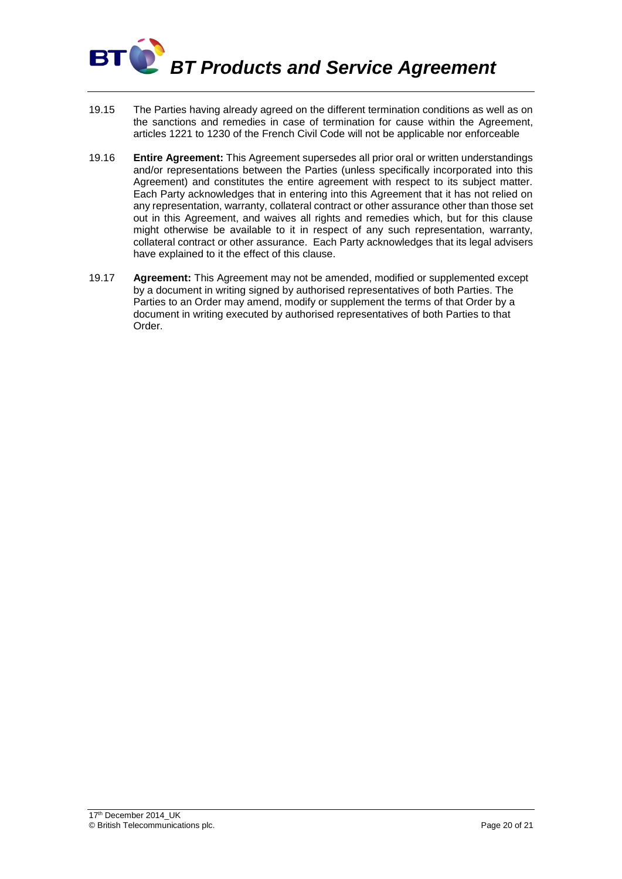

- 19.15 The Parties having already agreed on the different termination conditions as well as on the sanctions and remedies in case of termination for cause within the Agreement, articles 1221 to 1230 of the French Civil Code will not be applicable nor enforceable
- 19.16 **Entire Agreement:** This Agreement supersedes all prior oral or written understandings and/or representations between the Parties (unless specifically incorporated into this Agreement) and constitutes the entire agreement with respect to its subject matter. Each Party acknowledges that in entering into this Agreement that it has not relied on any representation, warranty, collateral contract or other assurance other than those set out in this Agreement, and waives all rights and remedies which, but for this clause might otherwise be available to it in respect of any such representation, warranty, collateral contract or other assurance. Each Party acknowledges that its legal advisers have explained to it the effect of this clause.
- 19.17 **Agreement:** This Agreement may not be amended, modified or supplemented except by a document in writing signed by authorised representatives of both Parties. The Parties to an Order may amend, modify or supplement the terms of that Order by a document in writing executed by authorised representatives of both Parties to that Order.